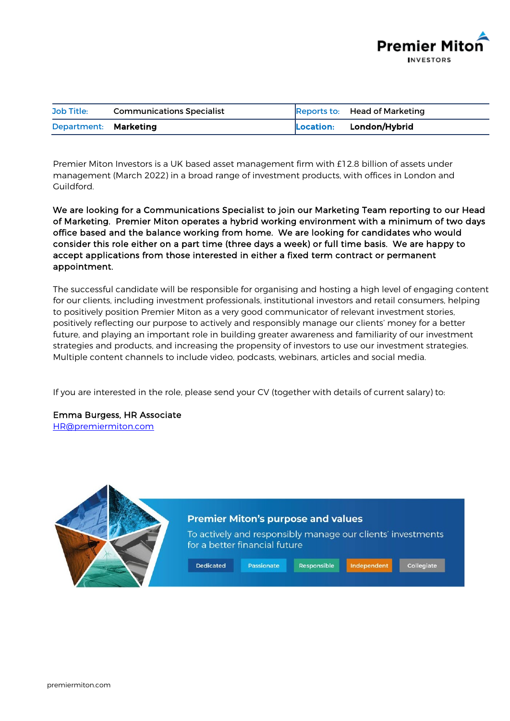

| <b>Job Title:</b>     | <b>Communications Specialist</b> | Reports to: Head of Marketing |
|-----------------------|----------------------------------|-------------------------------|
| Department: Marketing |                                  | Location: London/Hybrid       |

Premier Miton Investors is a UK based asset management firm with £12.8 billion of assets under management (March 2022) in a broad range of investment products, with offices in London and Guildford.

We are looking for a Communications Specialist to join our Marketing Team reporting to our Head of Marketing. Premier Miton operates a hybrid working environment with a minimum of two days office based and the balance working from home. We are looking for candidates who would consider this role either on a part time (three days a week) or full time basis. We are happy to accept applications from those interested in either a fixed term contract or permanent appointment.

The successful candidate will be responsible for organising and hosting a high level of engaging content for our clients, including investment professionals, institutional investors and retail consumers, helping to positively position Premier Miton as a very good communicator of relevant investment stories, positively reflecting our purpose to actively and responsibly manage our clients' money for a better future, and playing an important role in building greater awareness and familiarity of our investment strategies and products, and increasing the propensity of investors to use our investment strategies. Multiple content channels to include video, podcasts, webinars, articles and social media.

If you are interested in the role, please send your CV (together with details of current salary) to:

Emma Burgess, HR Associate

[HR@premiermiton.com](mailto:HR@premiermiton.com)

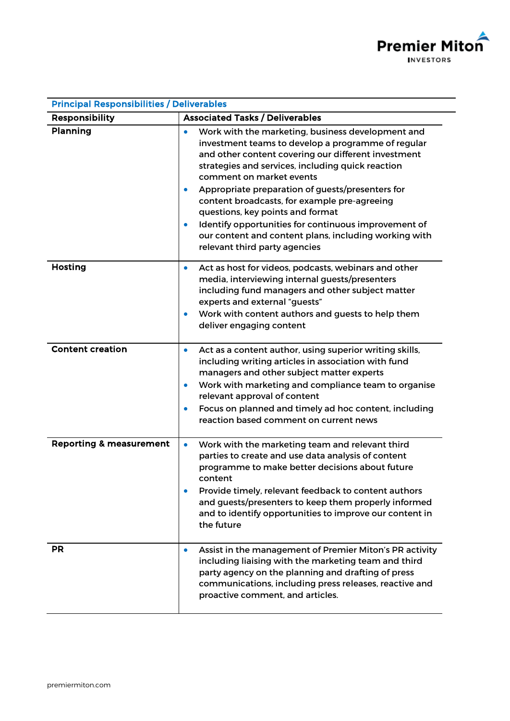

| <b>Principal Responsibilities / Deliverables</b> |                                                                                                                                                                                                                                                                                                                                                                                                                                                                                                                                                        |  |  |  |
|--------------------------------------------------|--------------------------------------------------------------------------------------------------------------------------------------------------------------------------------------------------------------------------------------------------------------------------------------------------------------------------------------------------------------------------------------------------------------------------------------------------------------------------------------------------------------------------------------------------------|--|--|--|
| <b>Responsibility</b>                            | <b>Associated Tasks / Deliverables</b>                                                                                                                                                                                                                                                                                                                                                                                                                                                                                                                 |  |  |  |
| Planning                                         | Work with the marketing, business development and<br>investment teams to develop a programme of regular<br>and other content covering our different investment<br>strategies and services, including quick reaction<br>comment on market events<br>Appropriate preparation of guests/presenters for<br>$\bullet$<br>content broadcasts, for example pre-agreeing<br>questions, key points and format<br>Identify opportunities for continuous improvement of<br>our content and content plans, including working with<br>relevant third party agencies |  |  |  |
| <b>Hosting</b>                                   | Act as host for videos, podcasts, webinars and other<br>۰<br>media, interviewing internal guests/presenters<br>including fund managers and other subject matter<br>experts and external "guests"<br>Work with content authors and guests to help them<br>deliver engaging content                                                                                                                                                                                                                                                                      |  |  |  |
| <b>Content creation</b>                          | Act as a content author, using superior writing skills,<br>۰<br>including writing articles in association with fund<br>managers and other subject matter experts<br>Work with marketing and compliance team to organise<br>$\bullet$<br>relevant approval of content<br>Focus on planned and timely ad hoc content, including<br>$\bullet$<br>reaction based comment on current news                                                                                                                                                                   |  |  |  |
| <b>Reporting &amp; measurement</b>               | Work with the marketing team and relevant third<br>$\bullet$<br>parties to create and use data analysis of content<br>programme to make better decisions about future<br>content<br>Provide timely, relevant feedback to content authors<br>and guests/presenters to keep them properly informed<br>and to identify opportunities to improve our content in<br>the future                                                                                                                                                                              |  |  |  |
| <b>PR</b>                                        | Assist in the management of Premier Miton's PR activity<br>$\bullet$<br>including liaising with the marketing team and third<br>party agency on the planning and drafting of press<br>communications, including press releases, reactive and<br>proactive comment, and articles.                                                                                                                                                                                                                                                                       |  |  |  |